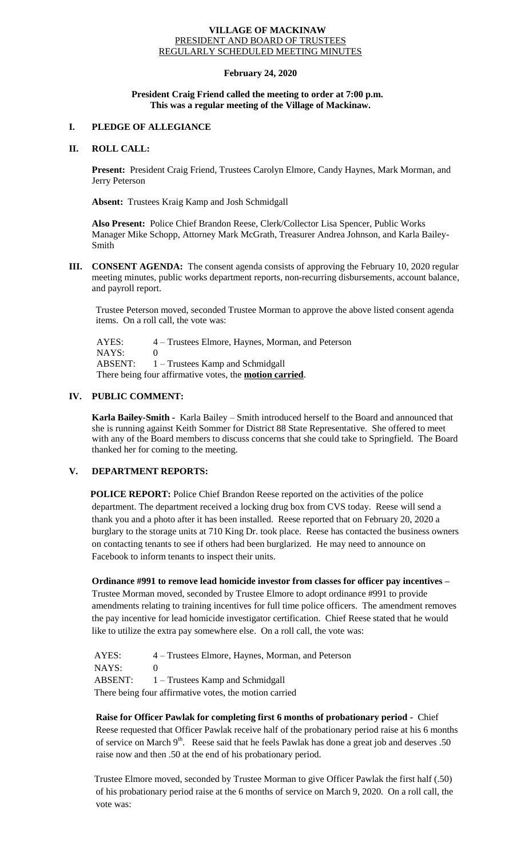#### **VILLAGE OF MACKINAW** PRESIDENT AND BOARD OF TRUSTEES REGULARLY SCHEDULED MEETING MINUTES

## **February 24, 2020**

#### **President Craig Friend called the meeting to order at 7:00 p.m. This was a regular meeting of the Village of Mackinaw.**

# **I. PLEDGE OF ALLEGIANCE**

### **II. ROLL CALL:**

**Present:** President Craig Friend, Trustees Carolyn Elmore, Candy Haynes, Mark Morman, and Jerry Peterson

**Absent:** Trustees Kraig Kamp and Josh Schmidgall

**Also Present:** Police Chief Brandon Reese, Clerk/Collector Lisa Spencer, Public Works Manager Mike Schopp, Attorney Mark McGrath, Treasurer Andrea Johnson, and Karla Bailey-Smith

**III. CONSENT AGENDA:** The consent agenda consists of approving the February 10, 2020 regular meeting minutes, public works department reports, non-recurring disbursements, account balance, and payroll report.

Trustee Peterson moved, seconded Trustee Morman to approve the above listed consent agenda items. On a roll call, the vote was:

 AYES: 4 – Trustees Elmore, Haynes, Morman, and Peterson NAYS: 0 ABSENT: 1 – Trustees Kamp and Schmidgall There being four affirmative votes, the **motion carried**.

# **IV. PUBLIC COMMENT:**

**Karla Bailey-Smith -** Karla Bailey – Smith introduced herself to the Board and announced that she is running against Keith Sommer for District 88 State Representative. She offered to meet with any of the Board members to discuss concerns that she could take to Springfield. The Board thanked her for coming to the meeting.

## **V. DEPARTMENT REPORTS:**

**POLICE REPORT:** Police Chief Brandon Reese reported on the activities of the police department. The department received a locking drug box from CVS today. Reese will send a thank you and a photo after it has been installed. Reese reported that on February 20, 2020 a burglary to the storage units at 710 King Dr. took place. Reese has contacted the business owners on contacting tenants to see if others had been burglarized. He may need to announce on Facebook to inform tenants to inspect their units.

**Ordinance #991 to remove lead homicide investor from classes for officer pay incentives –**

Trustee Morman moved, seconded by Trustee Elmore to adopt ordinance #991 to provide amendments relating to training incentives for full time police officers. The amendment removes the pay incentive for lead homicide investigator certification. Chief Reese stated that he would like to utilize the extra pay somewhere else. On a roll call, the vote was:

AYES: 4 – Trustees Elmore, Haynes, Morman, and Peterson NAYS: 0 ABSENT: 1 – Trustees Kamp and Schmidgall There being four affirmative votes, the motion carried

**Raise for Officer Pawlak for completing first 6 months of probationary period -** Chief Reese requested that Officer Pawlak receive half of the probationary period raise at his 6 months of service on March  $9<sup>th</sup>$ . Reese said that he feels Pawlak has done a great job and deserves .50 raise now and then .50 at the end of his probationary period.

Trustee Elmore moved, seconded by Trustee Morman to give Officer Pawlak the first half (.50) of his probationary period raise at the 6 months of service on March 9, 2020. On a roll call, the vote was: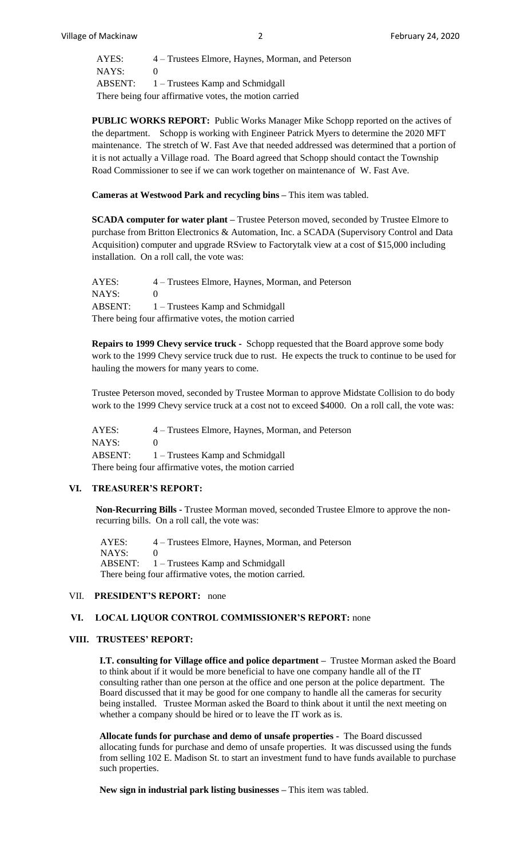AYES: 4 – Trustees Elmore, Haynes, Morman, and Peterson NAYS: 0 ABSENT:  $1 -$  Trustees Kamp and Schmidgall There being four affirmative votes, the motion carried

**PUBLIC WORKS REPORT:** Public Works Manager Mike Schopp reported on the actives of the department. Schopp is working with Engineer Patrick Myers to determine the 2020 MFT maintenance. The stretch of W. Fast Ave that needed addressed was determined that a portion of it is not actually a Village road. The Board agreed that Schopp should contact the Township Road Commissioner to see if we can work together on maintenance of W. Fast Ave.

**Cameras at Westwood Park and recycling bins –** This item was tabled.

**SCADA computer for water plant –** Trustee Peterson moved, seconded by Trustee Elmore to purchase from Britton Electronics & Automation, Inc. a SCADA (Supervisory Control and Data Acquisition) computer and upgrade RSview to Factorytalk view at a cost of \$15,000 including installation. On a roll call, the vote was:

AYES: 4 – Trustees Elmore, Haynes, Morman, and Peterson NAYS: 0 ABSENT:  $1 -$  Trustees Kamp and Schmidgall There being four affirmative votes, the motion carried

**Repairs to 1999 Chevy service truck -** Schopp requested that the Board approve some body work to the 1999 Chevy service truck due to rust. He expects the truck to continue to be used for hauling the mowers for many years to come.

Trustee Peterson moved, seconded by Trustee Morman to approve Midstate Collision to do body work to the 1999 Chevy service truck at a cost not to exceed \$4000. On a roll call, the vote was:

AYES: 4 – Trustees Elmore, Haynes, Morman, and Peterson NAYS: 0 ABSENT: 1 – Trustees Kamp and Schmidgall There being four affirmative votes, the motion carried

#### **VI. TREASURER'S REPORT:**

**Non-Recurring Bills -** Trustee Morman moved, seconded Trustee Elmore to approve the nonrecurring bills. On a roll call, the vote was:

 AYES: 4 – Trustees Elmore, Haynes, Morman, and Peterson  $NAYS: 0$  ABSENT: 1 – Trustees Kamp and Schmidgall There being four affirmative votes, the motion carried.

#### VII. **PRESIDENT'S REPORT:** none

## **VI. LOCAL LIQUOR CONTROL COMMISSIONER'S REPORT:** none

### **VIII. TRUSTEES' REPORT:**

**I.T. consulting for Village office and police department –** Trustee Morman asked the Board to think about if it would be more beneficial to have one company handle all of the IT consulting rather than one person at the office and one person at the police department. The Board discussed that it may be good for one company to handle all the cameras for security being installed. Trustee Morman asked the Board to think about it until the next meeting on whether a company should be hired or to leave the IT work as is.

**Allocate funds for purchase and demo of unsafe properties -** The Board discussed allocating funds for purchase and demo of unsafe properties. It was discussed using the funds from selling 102 E. Madison St. to start an investment fund to have funds available to purchase such properties.

**New sign in industrial park listing businesses –** This item was tabled.